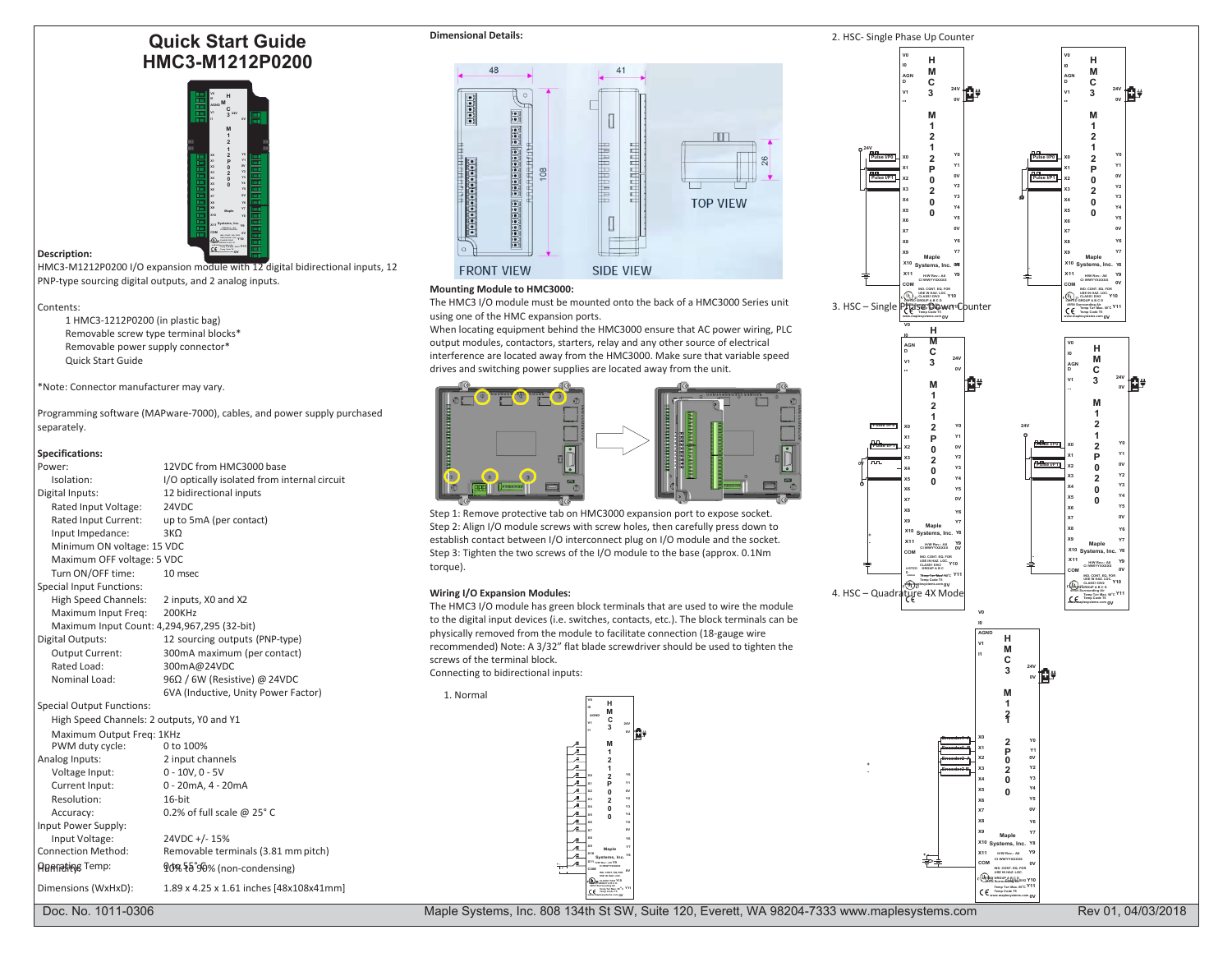# **Quick Start Guide HMC3-M1212P0200**



# **Description:**

HMC3-M1212P0200 I/O expansion module with 12 digital bidirectional inputs, 12 PNP-type sourcing digital outputs, and 2 analog inputs.

#### Contents:

1 HMC3-1212P0200 (in plastic bag) Removable screw type terminal blocks\* Removable power supply connector\* Quick Start Guide

\*Note: Connector manufacturer may vary.

Programming software (MAPware-7000), cables, and power supply purchased separately.

#### **Specifications:**

| 12VDC from HMC3000 base<br>Power:<br>I/O optically isolated from internal circuit<br>Isolation:<br>12 bidirectional inputs<br>Digital Inputs:<br>24VDC<br>Rated Input Voltage:<br>up to 5mA (per contact)<br>Rated Input Current:<br>Input Impedance:<br>$3K\Omega$<br>Minimum ON voltage: 15 VDC<br>Maximum OFF voltage: 5 VDC<br>Turn ON/OFF time:<br>10 msec<br>Special Input Functions:<br>High Speed Channels:<br>2 inputs, X0 and X2<br>Maximum Input Freq:<br>200KHz                                                                                                                                  | Step 1: Remove protective tab on HMC3000 expansion port to expose socket.<br>Step 2: Align I/O module screws with screw holes, then carefully press down to<br>establish contact between I/O interconnect plug on I/O module and the socket.<br>Step 3: Tighten the two screws of the I/O module to the base (approx. 0.1Nm)<br>torque).<br><b>Wiring I/O Expansion Modules:</b><br>The HMC3 I/O module has green block terminals that are used to wire the module<br>to the digital input devices (i.e. switches, contacts, etc.). The block terminals can be | nn.<br>Y3<br>Y4<br>Y5<br><b>nv</b><br>Maple<br>X10 Systems, Inc. Y8<br>X <sub>11</sub><br>H/W Rev.: A0<br>COM<br>ND, CONT. EQ. FO<br><b>USE IN HAZ. LOC.</b><br>CLASS1 DIV2<br>Thesp Tax Max, 30°C Y1<br>with papiesystems.com OV<br>4. HSC - Quadrature 4X Mode |
|--------------------------------------------------------------------------------------------------------------------------------------------------------------------------------------------------------------------------------------------------------------------------------------------------------------------------------------------------------------------------------------------------------------------------------------------------------------------------------------------------------------------------------------------------------------------------------------------------------------|----------------------------------------------------------------------------------------------------------------------------------------------------------------------------------------------------------------------------------------------------------------------------------------------------------------------------------------------------------------------------------------------------------------------------------------------------------------------------------------------------------------------------------------------------------------|------------------------------------------------------------------------------------------------------------------------------------------------------------------------------------------------------------------------------------------------------------------|
| Maximum Input Count: 4,294,967,295 (32-bit)<br>Digital Outputs:<br>12 sourcing outputs (PNP-type)<br>300mA maximum (per contact)<br>Output Current:<br>Rated Load:<br>300mA@24VDC<br>Nominal Load:<br>$96\Omega$ / 6W (Resistive) @ 24VDC<br>6VA (Inductive, Unity Power Factor)                                                                                                                                                                                                                                                                                                                             | physically removed from the module to facilitate connection (18-gauge wire<br>recommended) Note: A 3/32" flat blade screwdriver should be used to tighten the<br>screws of the terminal block.<br>Connecting to bidirectional inputs:<br>1. Normal                                                                                                                                                                                                                                                                                                             | <b>AGND</b><br>M                                                                                                                                                                                                                                                 |
| Special Output Functions:<br>High Speed Channels: 2 outputs, Y0 and Y1<br>Maximum Output Freg: 1KHz<br>0 to 100%<br>PWM duty cycle:<br>2 input channels<br>Analog Inputs:<br>$0 - 10V, 0 - 5V$<br>Voltage Input:<br>Current Input:<br>0 - 20mA, 4 - 20mA<br>Resolution:<br>16-bit<br>0.2% of full scale $@$ 25° C<br>Accuracy:<br>Input Power Supply:<br>24VDC +/-15%<br>Input Voltage:<br><b>Connection Method:</b><br>Removable terminals (3.81 mm pitch)<br><b>ABATARING Temp:</b><br>90% 58°90% (non-condensing)<br>Dimensions (WxHxD):<br>1.89 x 4.25 x 1.61 inches [48x108x41mm]<br>Doc. No. 1011-0306 | M<br><b>AGND</b><br>3<br>生生生<br>$\overline{2}$<br>es a la Terrora Ging Air<br>- Camp Tar Max, 50 <sup>°C</sup><br>- Camp Caste T1<br>Maple Systems, Inc. 808 134th St SW, Suite 120, Everett, WA 98204-7333 www.maplesystems.com                                                                                                                                                                                                                                                                                                                               | (Up) ge GROUP A B.S.Porce<br>Temp Ta= Max. 50°C Y<br>Temp Code TS                                                                                                                                                                                                |



#### **Mounting Module to HMC3000:**

The HMC3 I/O module must be mounted onto the back of a HMC3000 Series unit using one of the HMC expansion ports.

When locating equipment behind the HMC3000 ensure that AC power wiring, PLC output modules, contactors, starters, relay and any other source of electrical interference are located away from the HMC3000. Make sure that variable speed drives and switching power supplies are located away from the unit.



#### **Wiring I/O Expansion Modules:**





Maple Systems, Inc. 808 134th St SW, Suite 120, Everett, WA 98204-7333 [www.maplesystems.com](http://www.maplesystems.com/) Rev 01, 04/03/2018